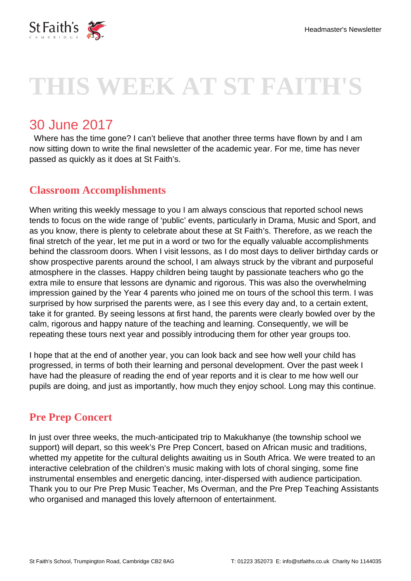

# **THIS WEEK AT ST FAITH'S**

## 30 June 2017

 Where has the time gone? I can't believe that another three terms have flown by and I am now sitting down to write the final newsletter of the academic year. For me, time has never passed as quickly as it does at St Faith's.

## **Classroom Accomplishments**

When writing this weekly message to you I am always conscious that reported school news tends to focus on the wide range of 'public' events, particularly in Drama, Music and Sport, and as you know, there is plenty to celebrate about these at St Faith's. Therefore, as we reach the final stretch of the year, let me put in a word or two for the equally valuable accomplishments behind the classroom doors. When I visit lessons, as I do most days to deliver birthday cards or show prospective parents around the school, I am always struck by the vibrant and purposeful atmosphere in the classes. Happy children being taught by passionate teachers who go the extra mile to ensure that lessons are dynamic and rigorous. This was also the overwhelming impression gained by the Year 4 parents who joined me on tours of the school this term. I was surprised by how surprised the parents were, as I see this every day and, to a certain extent, take it for granted. By seeing lessons at first hand, the parents were clearly bowled over by the calm, rigorous and happy nature of the teaching and learning. Consequently, we will be repeating these tours next year and possibly introducing them for other year groups too.

I hope that at the end of another year, you can look back and see how well your child has progressed, in terms of both their learning and personal development. Over the past week I have had the pleasure of reading the end of year reports and it is clear to me how well our pupils are doing, and just as importantly, how much they enjoy school. Long may this continue.

## **Pre Prep Concert**

In just over three weeks, the much-anticipated trip to Makukhanye (the township school we support) will depart, so this week's Pre Prep Concert, based on African music and traditions, whetted my appetite for the cultural delights awaiting us in South Africa. We were treated to an interactive celebration of the children's music making with lots of choral singing, some fine instrumental ensembles and energetic dancing, inter-dispersed with audience participation. Thank you to our Pre Prep Music Teacher, Ms Overman, and the Pre Prep Teaching Assistants who organised and managed this lovely afternoon of entertainment.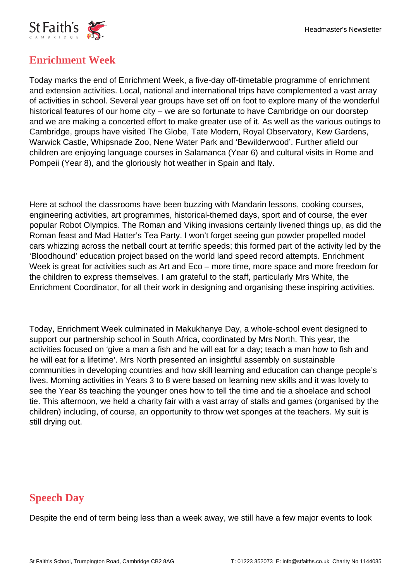

## **Enrichment Week**

Today marks the end of Enrichment Week, a five-day off-timetable programme of enrichment and extension activities. Local, national and international trips have complemented a vast array of activities in school. Several year groups have set off on foot to explore many of the wonderful historical features of our home city – we are so fortunate to have Cambridge on our doorstep and we are making a concerted effort to make greater use of it. As well as the various outings to Cambridge, groups have visited The Globe, Tate Modern, Royal Observatory, Kew Gardens, Warwick Castle, Whipsnade Zoo, Nene Water Park and 'Bewilderwood'. Further afield our children are enjoying language courses in Salamanca (Year 6) and cultural visits in Rome and Pompeii (Year 8), and the gloriously hot weather in Spain and Italy.

Here at school the classrooms have been buzzing with Mandarin lessons, cooking courses, engineering activities, art programmes, historical-themed days, sport and of course, the ever popular Robot Olympics. The Roman and Viking invasions certainly livened things up, as did the Roman feast and Mad Hatter's Tea Party. I won't forget seeing gun powder propelled model cars whizzing across the netball court at terrific speeds; this formed part of the activity led by the 'Bloodhound' education project based on the world land speed record attempts. Enrichment Week is great for activities such as Art and Eco – more time, more space and more freedom for the children to express themselves. I am grateful to the staff, particularly Mrs White, the Enrichment Coordinator, for all their work in designing and organising these inspiring activities.

Today, Enrichment Week culminated in Makukhanye Day, a whole-school event designed to support our partnership school in South Africa, coordinated by Mrs North. This year, the activities focused on 'give a man a fish and he will eat for a day; teach a man how to fish and he will eat for a lifetime'. Mrs North presented an insightful assembly on sustainable communities in developing countries and how skill learning and education can change people's lives. Morning activities in Years 3 to 8 were based on learning new skills and it was lovely to see the Year 8s teaching the younger ones how to tell the time and tie a shoelace and school tie. This afternoon, we held a charity fair with a vast array of stalls and games (organised by the children) including, of course, an opportunity to throw wet sponges at the teachers. My suit is still drying out.

## **Speech Day**

Despite the end of term being less than a week away, we still have a few major events to look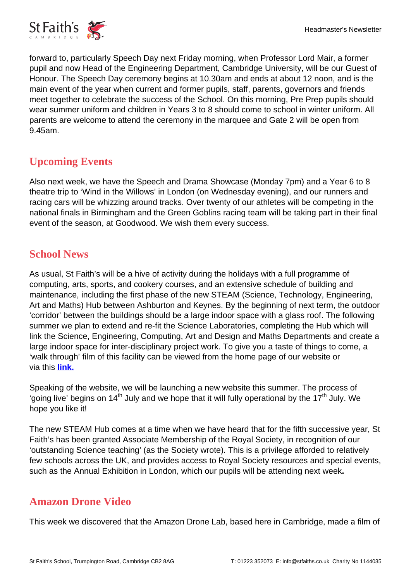

forward to, particularly Speech Day next Friday morning, when Professor Lord Mair, a former pupil and now Head of the Engineering Department, Cambridge University, will be our Guest of Honour. The Speech Day ceremony begins at 10.30am and ends at about 12 noon, and is the main event of the year when current and former pupils, staff, parents, governors and friends meet together to celebrate the success of the School. On this morning, Pre Prep pupils should wear summer uniform and children in Years 3 to 8 should come to school in winter uniform. All parents are welcome to attend the ceremony in the marquee and Gate 2 will be open from 9.45am.

## **Upcoming Events**

Also next week, we have the Speech and Drama Showcase (Monday 7pm) and a Year 6 to 8 theatre trip to 'Wind in the Willows' in London (on Wednesday evening), and our runners and racing cars will be whizzing around tracks. Over twenty of our athletes will be competing in the national finals in Birmingham and the Green Goblins racing team will be taking part in their final event of the season, at Goodwood. We wish them every success.

## **School News**

As usual, St Faith's will be a hive of activity during the holidays with a full programme of computing, arts, sports, and cookery courses, and an extensive schedule of building and maintenance, including the first phase of the new STEAM (Science, Technology, Engineering, Art and Maths) Hub between Ashburton and Keynes. By the beginning of next term, the outdoor 'corridor' between the buildings should be a large indoor space with a glass roof. The following summer we plan to extend and re-fit the Science Laboratories, completing the Hub which will link the Science, Engineering, Computing, Art and Design and Maths Departments and create a large indoor space for inter-disciplinary project work. To give you a taste of things to come, a 'walk through' film of this facility can be viewed from the home page of our website or via this **[link.](https://www.stfaiths.co.uk/news-media/school-videos/)**

Speaking of the website, we will be launching a new website this summer. The process of 'going live' begins on 14<sup>th</sup> July and we hope that it will fully operational by the 17<sup>th</sup> July. We hope you like it!

The new STEAM Hub comes at a time when we have heard that for the fifth successive year, St Faith's has been granted Associate Membership of the Royal Society, in recognition of our 'outstanding Science teaching' (as the Society wrote). This is a privilege afforded to relatively few schools across the UK, and provides access to Royal Society resources and special events, such as the Annual Exhibition in London, which our pupils will be attending next week**.**

## **Amazon Drone Video**

This week we discovered that the Amazon Drone Lab, based here in Cambridge, made a film of